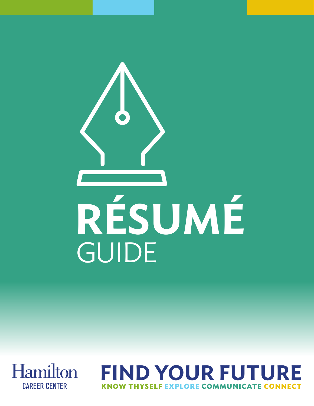



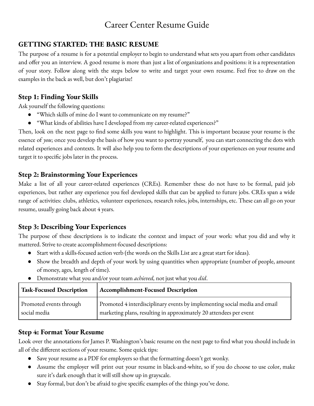# Career Center Resume Guide

### **GETTING STARTED: THE BASIC RESUME**

The purpose of a resume is for a potential employer to begin to understand what sets you apart from other candidates and offer you an interview. A good resume is more than just a list of organizations and positions: it is a representation of your story. Follow along with the steps below to write and target your own resume. Feel free to draw on the examples in the back as well, but don't plagiarize!

### **Step 1: Finding Your Skills**

Ask yourself the following questions:

- "Which skills of mine do I want to communicate on my resume?"
- "What kinds of abilities have I developed from my career-related experiences?"

Then, look on the next page to find some skills you want to highlight. This is important because your resume is the essence of *you*; once you develop the basis of how you want to portray yourself, you can start connecting the dots with related experiences and contexts. It will also help you to form the descriptions of your experiences on your resume and target it to specific jobs later in the process.

### **Step 2: Brainstorming Your Experiences**

Make a list of all your career-related experiences (CREs). Remember these do not have to be formal, paid job experiences, but rather any experience you feel developed skills that can be applied to future jobs. CREs span a wide range of activities: clubs, athletics, volunteer experiences, research roles, jobs, internships, etc. These can all go on your resume, usually going back about 4 years.

### **Step 3: Describing Your Experiences**

The purpose of these descriptions is to indicate the context and impact of your work: what you did and why it mattered. Strive to create accomplishment-focused descriptions:

- Start with a skills-focused action verb (the words on the Skills List are a great start for ideas).
- Show the breadth and depth of your work by using quantities when appropriate (number of people, amount of money, ages, length of time).

| <b>Task-Focused Description</b> | Accomplishment-Focused Description                                         |
|---------------------------------|----------------------------------------------------------------------------|
| Promoted events through         | Promoted 4 interdisciplinary events by implementing social media and email |
| social media                    | marketing plans, resulting in approximately 20 attendees per event         |

● Demonstrate what you and/or your team *achieved,* not just what you *did*.

### **Step 4: Format Your Resume**

Look over the annotations for James P. Washington's basic resume on the next page to find what you should include in all of the different sections of your resume. Some quick tips:

- Save your resume as a PDF for employers so that the formatting doesn't get wonky.
- Assume the employer will print out your resume in black-and-white, so if you do choose to use color, make sure it's dark enough that it will still show up in grayscale.
- Stay formal, but don't be afraid to give specific examples of the things you've done.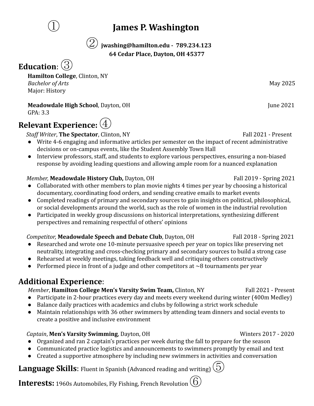# ① **James P. Washington**

② **jwashing@hamilton.edu - 789.234.123 64 Cedar Place, Dayton, OH 45377**

# **Education**:③

**Hamilton College**, Clinton, NY *Bachelor of Arts* May 2025 Major: History

**Meadowdale High School**, Dayton, OH June 2021

# GPA: 3.3 **Relevant Experience:**④

### **Staff Writer, The Spectator**, Clinton, NY Fall 2021 - Present

- Write 4-6 engaging and informative articles per semester on the impact of recent administrative decisions or on-campus events, like the Student Assembly Town Hall
- Interview professors, staff, and students to explore various perspectives, ensuring a non-biased response by avoiding leading questions and allowing ample room for a nuanced explanation

### *Member,* **Meadowdale History Club,** Dayton, OH Fall 2019 - Spring 2021

- Collaborated with other members to plan movie nights 4 times per year by choosing a historical documentary, coordinating food orders, and sending creative emails to market events
- Completed readings of primary and secondary sources to gain insights on political, philosophical, or social developments around the world, such as the role of women in the industrial revolution
- Participated in weekly group discussions on historical interpretations, synthesizing different perspectives and remaining respectful of others' opinions

### *Competitor*, **Meadowdale Speech and Debate Club**, Dayton, OH Fall 2018 - Spring 2021

- Researched and wrote one 10-minute persuasive speech per year on topics like preserving net neutrality, integrating and cross-checking primary and secondary sources to build a strong case
- Rehearsed at weekly meetings, taking feedback well and critiquing others constructively
- Performed piece in front of a judge and other competitors at  $\sim$ 8 tournaments per year

# **Additional Experience**:

### *Member*, **Hamilton College Men's Varsity Swim Team,** Clinton, NY Fall 2021 - Present

- Participate in 2-hour practices every day and meets every weekend during winter (400m Medley)
- Balance daily practices with academics and clubs by following a strict work schedule
- Maintain relationships with 36 other swimmers by attending team dinners and social events to create a positive and inclusive environment

### *Captain*, **Men's Varsity Swimming**, Dayton, OH Winters 2017 - 2020

- Organized and ran 2 captain's practices per week during the fall to prepare for the season
- Communicated practice logistics and announcements to swimmers promptly by email and text
- Created a supportive atmosphere by including new swimmers in activities and conversation

# **Language Skills**: Fluent in Spanish (Advanced reading and writing)  $(5)$

**Interests:** 1960s Automobiles, Fly Fishing, French Revolution  $\left(\begin{matrix}6\end{matrix}\right)$ 

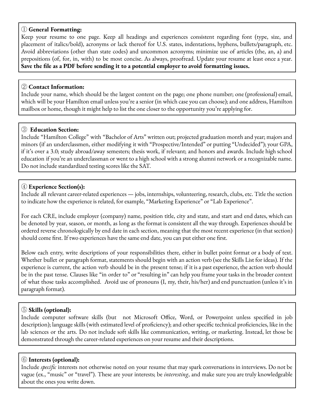### ① **General Formatting:**

Keep your resume to one page. Keep all headings and experiences consistent regarding font (type, size, and placement of italics/bold), acronyms or lack thereof for U.S. states, indentations, hyphens, bullets/paragraph, etc. Avoid abbreviations (other than state codes) and uncommon acronyms; minimize use of articles (the, an, a) and prepositions (of, for, in, with) to be most concise. As always, proofread. Update your resume at least once a year. **Save the file as a PDF before sending it to a potential employer to avoid formatting issues.**

### ② **Contact Information:**

Include your name, which should be the largest content on the page; one phone number; one (professional) email, which will be your Hamilton email unless you're a senior (in which case you can choose); and one address, Hamilton mailbox or home, though it might help to list the one closer to the opportunity you're applying for.

### ③ **Education Section:**

Include "Hamilton College" with "Bachelor of Arts" written out; projected graduation month and year; majors and minors (if an underclassmen, either modifying it with "Prospective/Intended" or putting "Undecided"); your GPA, if it's over a 3.0; study abroad/away semesters; thesis work, if relevant; and honors and awards. Include high school education if you're an underclassman or went to a high school with a strong alumni network or a recognizable name. Do not include standardized testing scores like the SAT.

### ④ **Experience Section(s):**

Include all relevant career-related experiences — jobs, internships, volunteering, research, clubs, etc. Title the section to indicate how the experience is related, for example, "Marketing Experience" or "Lab Experience".

For each CRE, include employer (company) name, position title, city and state, and start and end dates, which can be denoted by year, season, or month, as long as the format is consistent all the way through. Experiences should be ordered reverse chronologically by end date in each section, meaning that the most recent experience (in that section) should come first. If two experiences have the same end date, you can put either one first.

Below each entry, write descriptions of your responsibilities there, either in bullet point format or a body of text. Whether bullet or paragraph format, statements should begin with an action verb (see the Skills List for ideas). If the experience is current, the action verb should be in the present tense; if it is a past experience, the action verb should be in the past tense. Clauses like "in order to" or "resulting in" can help you frame your tasks in the broader context of what those tasks accomplished. Avoid use of pronouns (I, my, their, his/her) and end punctuation (unless it's in paragraph format).

### ⑤ **Skills (optional):**

Include computer software skills (but not Microsoft Office, Word, or Powerpoint unless specified in job description); language skills (with estimated level of proficiency); and other specific technical proficiencies, like in the lab sciences or the arts. Do not include soft skills like communication, writing, or marketing. Instead, let those be demonstrated through the career-related experiences on your resume and their descriptions.

### ⑥ **Interests (optional):**

Include *specific* interests not otherwise noted on your resume that may spark conversations in interviews. Do not be vague (ex., "music" or "travel"). These are your interests; be *interesting*, and make sure you are truly knowledgeable about the ones you write down.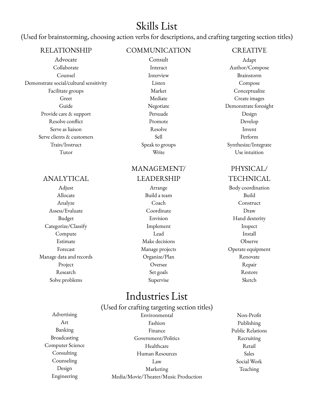# Skills List

(Used for brainstorming, choosing action verbs for descriptions, and crafting targeting section titles)

| <b>RELATIONSHIP</b>                     | COMMUNICATION   | <b>CREATIVE</b>       |
|-----------------------------------------|-----------------|-----------------------|
| Advocate                                | Consult         | Adapt                 |
| Collaborate                             | Interact        | Author/Compose        |
| Counsel                                 | Interview       | Brainstorm            |
| Demonstrate social/cultural sensitivity | Listen          | Compose               |
| Facilitate groups                       | Market          | Conceptualize         |
| Greet                                   | Mediate         | Create images         |
| Guide                                   | Negotiate       | Demonstrate foresight |
| Provide care & support                  | Persuade        | Design                |
| Resolve conflict                        | Promote         | Develop               |
| Serve as liaison                        | Resolve         | Invent                |
| Serve clients & customers               | Sell            | Perform               |
| Train/Instruct                          | Speak to groups | Synthesize/Integrate  |
| Tutor                                   | Write           | Use intuition         |

### ANALYTICAL

Allocate Build a team Build Assess/Evaluate Coordinate Draw Categorize/Classify **Implement** Implement **Implement** Compute Lead Install Estimate Make decisions Observe Manage data and records Organize/Plan Renovate Research Set goals Restore Solve problems Supervise Supervise Sketch

### MANAGEMENT/ LEADERSHIP

Analyze Coach Construct Project Repair

# PHYSICAL/

TECHNICAL

Adjust **Arrange Body coordination** Budget Envision Hand dexterity Forecast Manage projects Operate equipment

# Industries List

(Used for crafting targeting section titles)

Advertising Environmental Non-Profit Art Fashion Publishing Banking **Finance** Public Relations **Public Relations** Broadcasting Government/Politics Recruiting Computer Science Healthcare Retail Consulting Human Resources Sales Counseling Law Social Work Design Teaching Marketing Teaching Teaching Engineering Media/Movie/Theater/Music Production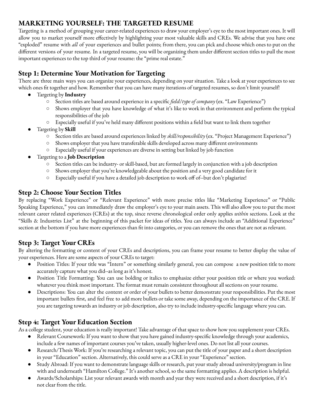# **MARKETING YOURSELF: THE TARGETED RESUME**

Targeting is a method of grouping your career-related experiences to draw your employer's eye to the most important ones. It will allow you to market yourself more effectively by highlighting your most valuable skills and CREs. We advise that you have one "exploded" resume with *all* of your experiences and bullet points; from there, you can pick and choose which ones to put on the different versions of your resume. In a targeted resume, you will be organizing them under different section titles to pull the most important experiences to the top third of your resume: the "prime real estate."

### **Step 1: Determine Your Motivation for Targeting**

There are three main ways you can organize your experiences, depending on your situation. Take a look at your experiences to see which ones fit together and how. Remember that you can have many iterations of targeted resumes, so don't limit yourself!

- Targeting by **Industry**
	- Section titles are based around experience in a specific *field*/*type of company* (ex. "Law Experience")
	- Shows employer that you have knowledge of what it's like to work in that environment and perform the typical responsibilities of the job
	- Especially useful if you've held many different positions within a field but want to link them together
- Targeting by **Skill**
	- Section titles are based around experiences linked by *skill/responsibility* (ex. "Project Management Experience")
	- Shows employer that you have transferable skills developed across many different environments
	- Especially useful if your experiences are diverse in setting but linked by job function
- Targeting to a **Job Description**
	- Section titles can be industry- or skill-based, but are formed largely in conjunction with a job description
	- Shows employer that you're knowledgeable about the position and a very good candidate for it
	- Especially useful if you have a detailed job description to work off of--but don't plagiarize!

### **Step 2: Choose Your Section Titles**

By replacing "Work Experience" or "Relevant Experience" with more precise titles like "Marketing Experience" or "Public Speaking Experience," you can immediately draw the employer's eye to your main assets. This will also allow you to put the most relevant career related experiences (CREs) at the top, since reverse chronological order only applies *within* sections. Look at the "Skills & Industries List" at the beginning of this packet for ideas of titles. You can always include an "Additional Experience" section at the bottom if you have more experiences than fit into categories, or you can remove the ones that are not as relevant.

### **Step 3: Target Your CREs**

By altering the formatting or content of your CREs and descriptions, you can frame your resume to better display the value of your experiences. Here are some aspects of your CREs to target:

- Position Titles: If your title was "Intern" or something similarly general, you can compose a new position title to more accurately capture what you did--as long as it's honest.
- Position Title Formatting: You can use bolding or italics to emphasize either your position title or where you worked: whatever you think most important. The format must remain consistent throughout all sections on your resume.
- Descriptions: You can alter the content or order of your bullets to better demonstrate your responsibilities. Put the most important bullets first, and feel free to add more bullets or take some away, depending on the importance of the CRE. If you are targeting towards an industry or job description, also try to include industry-specific language where you can.

### **Step 4: Target Your Education Section**

As a college student, your education is really important! Take advantage of that space to show how you supplement your CREs.

- Relevant Coursework: If you want to show that you have gained industry-specific knowledge through your academics, include a few names of important courses you've taken, usually higher-level ones. Do not list all your courses.
- Research/Thesis Work: If you're researching a relevant topic, you can put the title of your paper and a short description in your "Education" section. Alternatively, this could serve as a CRE in your "Experience" section.
- Study Abroad: If you want to demonstrate language skills or research, put your study abroad university/program in line with and underneath "Hamilton College." It's another school, so the same formatting applies. A description is helpful.
- Awards/Scholarships: List your relevant awards with month and year they were received and a short description, if it's not clear from the title.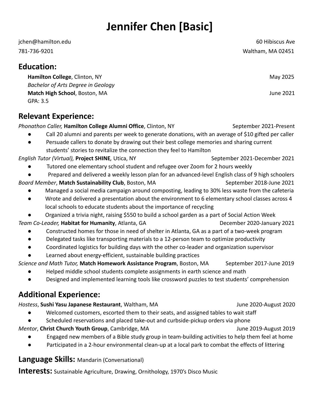# **Jennifer Chen [Basic]**

jchen@hamilton.edu 60 Hibiscus Ave 781-736-9201 Waltham, MA 02451

# **Education:**

**Hamilton College**, Clinton, NY May 2025 *Bachelor of Arts Degree in Geology* **Match High School**, Boston, MA June 2021 GPA: 3.5

# **Relevant Experience:**

*Phonathon Caller,* **Hamilton College Alumni Office**, Clinton, NY September 2021-Present

- Call 20 alumni and parents per week to generate donations, with an average of \$10 gifted per caller
- Persuade callers to donate by drawing out their best college memories and sharing current students' stories to revitalize the connection they feel to Hamilton

*English Tutor (Virtual), Project SHINE, Utica, NY* September 2021-December 2021

- Tutored one elementary school student and refugee over Zoom for 2 hours weekly
- Prepared and delivered a weekly lesson plan for an advanced-level English class of 9 high schoolers
- *Board Member*, Match Sustainability Club, Boston, MA September 2018-June 2021
	- Managed a social media campaign around composting, leading to 30% less waste from the cafeteria
	- Wrote and delivered a presentation about the environment to 6 elementary school classes across 4 local schools to educate students about the importance of recycling
	- Organized a trivia night, raising \$550 to build a school garden as a part of Social Action Week

*Team Co-Leader,* **Habitat for Humanity**, Atlanta, GA December 2020-January 2021

- Constructed homes for those in need of shelter in Atlanta, GA as a part of a two-week program
- Delegated tasks like transporting materials to a 12-person team to optimize productivity
- Coordinated logistics for building days with the other co-leader and organization supervisor
- Learned about energy-efficient, sustainable building practices

*Science and Math Tutor,* **Match Homework Assistance Program**, Boston, MA September 2017-June 2019

- Helped middle school students complete assignments in earth science and math
- Designed and implemented learning tools like crossword puzzles to test students' comprehension

# **Additional Experience:**

*Hostess*, **Sushi Yasu Japanese Restaurant**, Waltham, MA June 2020-August 2020

- Welcomed customers, escorted them to their seats, and assigned tables to wait staff
- Scheduled reservations and placed take-out and curbside-pickup orders via phone

*Mentor*, **Christ Church Youth Group**, Cambridge, MA June 2019-August 2019

- Engaged new members of a Bible study group in team-building activities to help them feel at home
- Participated in a 2-hour environmental clean-up at a local park to combat the effects of littering

**Language Skills:** Mandarin (Conversational)

**Interests:** Sustainable Agriculture, Drawing, Ornithology, 1970's Disco Music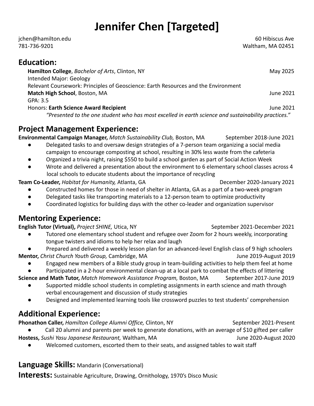# **Jennifer Chen [Targeted]**

jchen@hamilton.edu 60 Hibiscus Ave 781-736-9201 Waltham, MA 02451

# **Education:**

**Hamilton College**, *Bachelor of Arts*, Clinton, NY May 2025 Intended Major: Geology Relevant Coursework: Principles of Geoscience: Earth Resources and the Environment **Match High School**, Boston, MA June 2021 GPA: 3.5 Honors: **Earth Science Award Recipient** June 2021 *"Presented to the one student who has most excelled in earth science and sustainability practices."*

# **Project Management Experience:**

Environmental Campaign Manager, Match Sustainability Club, Boston, MA September 2018-June 2021

- Delegated tasks to and oversaw design strategies of a 7-person team organizing a social media campaign to encourage composting at school, resulting in 30% less waste from the cafeteria
- Organized a trivia night, raising \$550 to build a school garden as part of Social Action Week
- Wrote and delivered a presentation about the environment to 6 elementary school classes across 4 local schools to educate students about the importance of recycling

**Team Co-Leader,** *Habitat for Humanity, Atlanta, GA* December 2020-January 2021

- Constructed homes for those in need of shelter in Atlanta, GA as a part of a two-week program
- Delegated tasks like transporting materials to a 12-person team to optimize productivity
- Coordinated logistics for building days with the other co-leader and organization supervisor

# **Mentoring Experience:**

**English Tutor (Virtual),** *Project SHINE*, Utica, NY September 2021-December 2021

- Tutored one elementary school student and refugee over Zoom for 2 hours weekly, incorporating tongue twisters and idioms to help her relax and laugh
- Prepared and delivered a weekly lesson plan for an advanced-level English class of 9 high schoolers **Mentor,** *Christ Church Youth Group,* Cambridge, MA June 2019-August 2019
	- Engaged new members of a Bible study group in team-building activities to help them feel at home

Participated in a 2-hour environmental clean-up at a local park to combat the effects of littering

**Science and Math Tutor,** *Match Homework Assistance Program,* Boston, MA September 2017-June 2019

- Supported middle school students in completing assignments in earth science and math through verbal encouragement and discussion of study strategies
- Designed and implemented learning tools like crossword puzzles to test students' comprehension

# **Additional Experience:**

**Phonathon Caller,** *Hamilton College Alumni Office, Clinton*, NY September 2021-Present

Call 20 alumni and parents per week to generate donations, with an average of \$10 gifted per caller

**Hostess,** *Sushi Yasu Japanese Restaurant,* Waltham, MA June 2020-August 2020

● Welcomed customers, escorted them to their seats, and assigned tables to wait staff

### **Language Skills:** Mandarin (Conversational)

**Interests:** Sustainable Agriculture, Drawing, Ornithology, 1970's Disco Music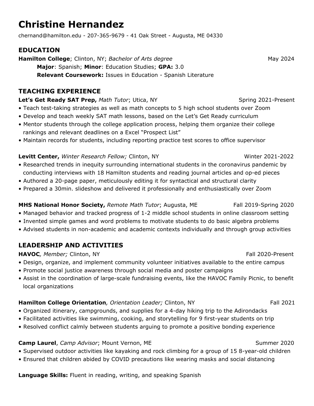# **Christine Hernandez**

chernand@hamilton.edu - 207-365-9679 - 41 Oak Street - Augusta, ME 04330

### **EDUCATION**

**Hamilton College**; Clinton, NY; *Bachelor of Arts degree* May 2024 **Major**: Spanish; **Minor**: Education Studies; **GPA:** 3.0 **Relevant Coursework:** Issues in Education - Spanish Literature

### **TEACHING EXPERIENCE**

### **Let's Get Ready SAT Prep,** *Math Tutor***; Utica, NY Settlem Contains 2021-Present**

- Teach test-taking strategies as well as math concepts to 5 high school students over Zoom
- Develop and teach weekly SAT math lessons, based on the Let's Get Ready curriculum
- Mentor students through the college application process, helping them organize their college rankings and relevant deadlines on a Excel "Prospect List"
- Maintain records for students, including reporting practice test scores to office supervisor

### **Levitt Center,** *Winter Research Fellow;* Clinton, NY Winter 2021-2022

- Researched trends in inequity surrounding international students in the coronavirus pandemic by conducting interviews with 18 Hamilton students and reading journal articles and op-ed pieces
- Authored a 20-page paper, meticulously editing it for syntactical and structural clarity
- Prepared a 30min. slideshow and delivered it professionally and enthusiastically over Zoom

### **MHS National Honor Society,** *Remote Math Tutor*; Augusta, ME Fall 2019-Spring 2020

- Managed behavior and tracked progress of 1-2 middle school students in online classroom setting
- Invented simple games and word problems to motivate students to do basic algebra problems
- Advised students in non-academic and academic contexts individually and through group activities

### **LEADERSHIP AND ACTIVITIES**

### **HAVOC**, Member; Clinton, NY **Fall 2020-Present**

- Design, organize, and implement community volunteer initiatives available to the entire campus
- Promote social justice awareness through social media and poster campaigns
- Assist in the coordination of large-scale fundraising events, like the HAVOC Family Picnic, to benefit local organizations

### **Hamilton College Orientation**, Orientation Leader; Clinton, NY Fall 2021

- Organized itinerary, campgrounds, and supplies for a 4-day hiking trip to the Adirondacks
- Facilitated activities like swimming, cooking, and storytelling for 9 first-year students on trip
- Resolved conflict calmly between students arguing to promote a positive bonding experience

### **Camp Laurel**, *Camp Advisor*; Mount Vernon, ME Summer 2020

- Supervised outdoor activities like kayaking and rock climbing for a group of 15 8-year-old children
- Ensured that children abided by COVID precautions like wearing masks and social distancing

**Language Skills:** Fluent in reading, writing, and speaking Spanish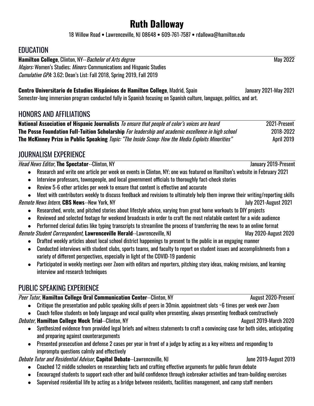# **Ruth Dalloway**

18 Willow Road **•** Lawrenceville, NJ 08648 **•** 609-761-7587 **•** rdallowa@hamilton.edu

# **EDUCATION**

**Hamilton College**, Clinton, NY--*Bachelor of Arts degree* May 2022 Majors: Women's Studies; Minors: Communications and Hispanic Studies Cumulative GPA: 3.62; Dean's List: Fall 2018, Spring 2019, Fall 2019

**Centro Universitario de Estudios Hispánicos de Hamilton College**, Madrid, Spain January 2021-May 2021 Semester-long immersion program conducted fully in Spanish focusing on Spanish culture, language, politics, and art.

# HONORS AND AFFILIATIONS

**National Association of Hispanic Journalists** To ensure that people of color's voices are heard 2021-Present **The Posse Foundation Full-Tuition Scholarship** For leadership and academic excellence in high school 2018-2022 **The McKinney Prize in Public Speaking** Topic: "The Inside Scoop: How the Media Exploits Minorities" April 2019

# JOURNALISM EXPERIENCE

### Head News Editor, **The Spectator**--Clinton, NY January 2019-Present

- Research and write one article per week on events in Clinton, NY; one was featured on Hamilton's website in February 2021
- Interview professors, townspeople, and local government officials to thoroughly fact-check stories
- Review 5-6 other articles per week to ensure that content is effective and accurate
- Meet with contributors weekly to discuss feedback and revisions to ultimately help them improve their writing/reporting skills

### Remote News Intern, **CBS News**--New York, NY July 2021-August 2021

- Researched, wrote, and pitched stories about lifestyle advice, varying from great home workouts to DIY projects
- Reviewed and selected footage for weekend broadcasts in order to craft the most relatable content for a wide audience
- Performed clerical duties like typing transcripts to streamline the process of transferring the news to an online format

### Remote Student Correspondent, Lawrenceville Herald--Lawrenceville, NJ May 2020-August 2020

- Drafted weekly articles about local school district happenings to present to the public in an engaging manner
- Conducted interviews with student clubs, sports teams, and faculty to report on student issues and accomplishments from a variety of different perspectives, especially in light of the COVID-19 pandemic
- Participated in weekly meetings over Zoom with editors and reporters, pitching story ideas, making revisions, and learning interview and research techniques

# PUBLIC SPEAKING EXPERIENCE

### Peer Tutor, Hamilton College Oral Communication Center--Clinton, NY August 2020-Present

- Critique the presentation and public speaking skills of peers in 30min. appointment slots ~6 times per week over Zoom
- Coach fellow students on body language and vocal quality when presenting, always presenting feedback constructively

### Debater, **Hamilton College Mock Trial**--Clinton, NY August 2019-March 2020

- Synthesized evidence from provided legal briefs and witness statements to craft a convincing case for both sides, anticipating and preparing against counterarguments
- Presented prosecution and defense 2 cases per year in front of a judge by acting as a key witness and responding to impromptu questions calmly and effectively

### Debate Tutor and Residential Advisor, **Capitol Debate**--Lawrenceville, NJ June 2019-August 2019

- Coached 12 middle schoolers on researching facts and crafting effective arguments for public forum debate
- Encouraged students to support each other and build confidence through icebreaker activities and team-building exercises
- Supervised residential life by acting as a bridge between residents, facilities management, and camp staff members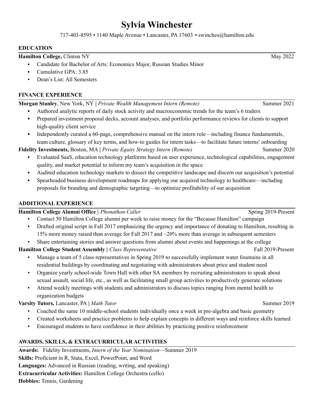# **Sylvia Winchester**

717-403-8595 ▪ 1140 Maple Avenue ▪ Lancaster, PA 17603 ▪ swinches@hamilton.edu

#### **EDUCATION**

**Hamilton College,** Clinton NY May 2022

- Candidate for Bachelor of Arts: Economics Major, Russian Studies Minor
- Cumulative GPA $\cdot$  3.85
- Dean's List: All Semesters

#### **FINANCE EXPERIENCE**

**Morgan Stanley**, New York, NY **|** *Private Wealth Management Intern (Remote)* Summer 2021

- **▪** Authored analytic reports of daily stock activity and macroeconomic trends for the team's 6 traders
- **▪** Prepared investment proposal decks, account analyses, and portfolio performance reviews for clients to support high-quality client service
- **▪** Independently curated a 60-page, comprehensive manual on the intern role––including finance fundamentals, team culture, glossary of key terms, and how-to guides for intern tasks––to facilitate future interns' onboarding

**Fidelity Investments,** Boston, MA **|** *Private Equity Strategy Intern (Remote)* Summer 2020

- Evaluated SaaS, education technology platforms based on user experience, technological capabilities, engagement quality, and market potential to inform my team's acquisition in the space
- Audited education technology markets to dissect the competitive landscape and discern our acquisition's potential
- Spearheaded business development roadmaps for applying our acquired technology to healthcare—including proposals for branding and demographic targeting––to optimize profitability of our acquisition

#### **ADDITIONAL EXPERIENCE**

**Hamilton College Alumni Office** | *Phonathon Caller* Spring 2019-Present

- Contact 50 Hamilton College alumni per week to raise money for the "Because Hamilton" campaign
- Drafted original script in Fall 2017 emphasizing the urgency and importance of donating to Hamilton, resulting in 15% more money raised than average for Fall 2017 and ~20% more than average in subsequent semesters
- Share entertaining stories and answer questions from alumni about events and happenings at the college

### **Hamilton College Student Assembly |** *Class Representative* Fall 2019-Present

- Manage a team of 5 class representatives in Spring 2019 to successfully implement water fountains in all residential buildings by coordinating and negotiating with administrators about price and student need
- Organize yearly school-wide Town Hall with other SA members by recruiting administrators to speak about sexual assault, social life, etc., as well as facilitating small group activities to productively generate solutions
- Attend weekly meetings with students and administrators to discuss topics ranging from mental health to organization budgets

### **Varsity Tutors,** Lancaster, PA **|** *Math Tutor* Summer 2019

- Coached the same 10 middle-school students individually once a week in pre-algebra and basic geometry
- Created worksheets and practice problems to help explain concepts in different ways and reinforce skills learned
- Encouraged students to have confidence in their abilities by practicing positive reinforcement

### **AWARDS, SKILLS, & EXTRACURRICULAR ACTIVITIES**

**Awards:** Fidelity Investments, *Intern of the Year Nomination*––Summer 2019 **Skills:** Proficient in R, Stata, Excel, PowerPoint, and Word **Languages:** Advanced in Russian (reading, writing, and speaking) **Extracurricular Activities:** Hamilton College Orchestra (cello) **Hobbies:** Tennis, Gardening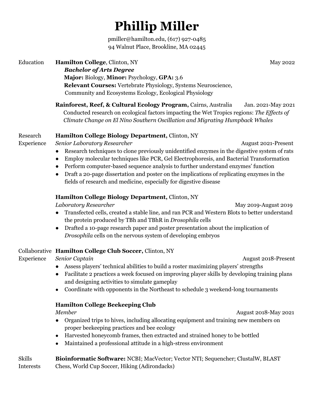# **Phillip Miller**

pmiller@hamilton.edu, (617) 927-0485 94 Walnut Place, Brookline, MA 02445

### **Education Hamilton College**, Clinton, NY May 2022 *Bachelor of Arts Degree* **Major:** Biology, **Minor:** Psychology, **GPA:** 3.6 **Relevant Courses:** Vertebrate Physiology, Systems Neuroscience, Community and Ecosystems Ecology, Ecological Physiology

**Rainforest, Reef, & Cultural Ecology Program,** Cairns, Australia Jan. 2021-May 2021 Conducted research on ecological factors impacting the Wet Tropics regions: The *Effects of Climate Change on El Nino Southern Oscillation and Migrating Humpback Whales*

### Research **Hamilton College Biology Department,** Clinton, NY

Experience *Senior Laboratory Researcher* **August 2021-Present** August 2021-Present

- Research techniques to clone previously unidentified enzymes in the digestive system of rats
- Employ molecular techniques like PCR, Gel Electrophoresis, and Bacterial Transformation
- Perform computer-based sequence analysis to further understand enzymes' function
- Draft a 20-page dissertation and poster on the implications of replicating enzymes in the fields of research and medicine, especially for digestive disease

### **Hamilton College Biology Department,** Clinton, NY

*Laboratory Researcher* May 2019-August 2019

- Transfected cells, created a stable line*,* and ran PCR and Western Blots to better understand the protein produced by TBh and TBhR in *Drosophila* cells
- Drafted a 10-page research paper and poster presentation about the implication of *Drosophila* cells on the nervous system of developing embryos

### Collaborative **Hamilton College Club Soccer,** Clinton, NY

Experience *Senior Captain* August 2018-Present

- Assess players' technical abilities to build a roster maximizing players' strengths
- Facilitate 2 practices a week focused on improving player skills by developing training plans and designing activities to simulate gameplay
- Coordinate with opponents in the Northeast to schedule 3 weekend-long tournaments

### **Hamilton College Beekeeping Club**

*Member* August 2018-May 2021

- Organized trips to hives, including allocating equipment and training new members on proper beekeeping practices and bee ecology
- Harvested honeycomb frames, then extracted and strained honey to be bottled
- Maintained a professional attitude in a high-stress environment

| <b>Skills</b> | <b>Bioinformatic Software: NCBI</b> ; MacVector; Vector NTI; Sequencher; ClustalW, BLAST |
|---------------|------------------------------------------------------------------------------------------|
| Interests     | Chess, World Cup Soccer, Hiking (Adirondacks)                                            |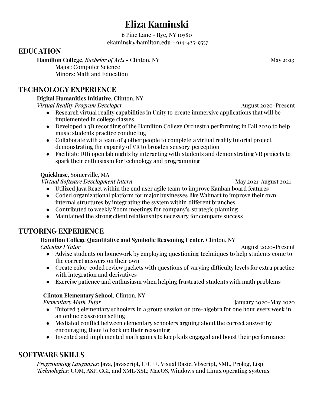# **Eliza Kaminski**

6 Pine Lane - Rye, NY 10580 ekaminsk@hamilton.edu - 914-425-9557

### **EDUCATION**

**Hamilton College**, *Bachelor of Arts* - Clinton, NY May 2023 Major: Computer Science Minors: Math and Education

## **TECHNOLOGY EXPERIENCE**

### **Digital Humanities Initiative,** Clinton, NY

*Virtual Reality Program Developer* August 2020-Present

- Research virtual reality capabilities in Unity to create immersive applications that will be implemented in college classes
- Developed a 3D recording of the Hamilton College Orchestra performing in Fall 2020 to help music students practice conducting
- Collaborate with a team of 4 other people to complete a virtual reality tutorial project demonstrating the capacity of VR to broaden sensory perception
- Facilitate DHi open lab nights by interacting with students and demonstrating VR projects to spark their enthusiasm for technology and programming

### **Quickbase**, Somerville, MA

*Virtual Software Development Intern* May 2021-August 2021

- Utilized Java React within the end user agile team to improve Kanban board features
- Coded organizational platform for major businesses like Walmart to improve their own internal structures by integrating the system within different branches
- Contributed to weekly Zoom meetings for company's strategic planning
- Maintained the strong client relationships necessary for company success

### **TUTORING EXPERIENCE**

### **Hamilton College Quantitative and Symbolic Reasoning Center,** Clinton, NY

*Calculus I Tutor* August 2020-Present

- Advise students on homework by employing questioning techniques to help students come to the correct answers on their own
- Create color-coded review packets with questions of varying difficulty levels for extra practice with integration and derivatives
- Exercise patience and enthusiasm when helping frustrated students with math problems

### **Clinton Elementary School**, Clinton, NY

*Elementary Math Tutor* January 2020-May 2020

- Tutored 3 elementary schoolers in a group session on pre-algebra for one hour every week in an online classroom setting
- Mediated conflict between elementary schoolers arguing about the correct answer by encouraging them to back up their reasoning
- Invented and implemented math games to keep kids engaged and boost their performance

# **SOFTWARE SKILLS**

*Programming Languages:* Java, Javascript, C/C++, Visual Basic, Vbscript, SML, Prolog, Lisp *Technologies:* COM, ASP, CGI, and XML/XSL; MacOS, Windows and Linux operating systems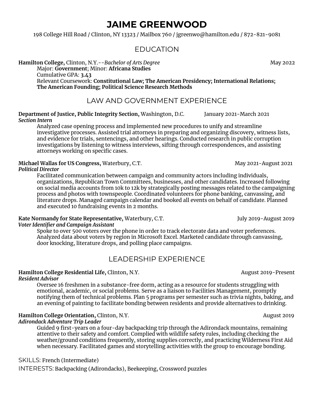# **JAIME GREENWOOD**

198 College Hill Road / Clinton, NY 13323 / Mailbox 760 / jgreenwo@hamilton.edu / 872-821-9081

### EDUCATION

**Hamilton College,** Clinton, N.Y.--*Bachelor of Arts Degree* May 2022 Major: **Government**; Minor: **Africana Studies** Cumulative GPA: **3.43** Relevant Coursework: **Constitutional Law; The American Presidency; International Relations; The American Founding; Political Science Research Methods**

### LAW AND GOVERNMENT EXPERIENCE

**Department of Justice, Public Integrity Section,** Washington, D.C. January 2021-March 2021 *Section Intern*

Analyzed case opening process and implemented new procedures to unify and streamline investigative processes. Assisted trial attorneys in preparing and organizing discovery, witness lists, and evidence for trials, sentencings, and other hearings. Conducted research in public corruption investigations by listening to witness interviews, sifting through correspondences, and assisting attorneys working on specific cases.

#### **Michael Wallas for US Congress,** Waterbury, C.T. May 2021-August 2021

#### *Political Director*

Facilitated communication between campaign and community actors including individuals, organizations, Republican Town Committees, businesses, and other candidates. Increased following on social media accounts from 10k to 12k by strategically posting messages related to the campaigning process and photos with townspeople. Coordinated volunteers for phone banking, canvassing, and literature drops. Managed campaign calendar and booked all events on behalf of candidate. Planned and executed 10 fundraising events in 2 months.

#### **Kate Normandy for State Representative,** Waterbury, C.T. **July 2019-August 2019** *Voter Identifier and Campaign Assistant*

Spoke to over 500 voters over the phone in order to track electorate data and voter preferences. Analyzed data about voters by region in Microsoft Excel. Marketed candidate through canvassing, door knocking, literature drops, and polling place campaigns.

### LEADERSHIP EXPERIENCE

#### **Hamilton College Residential Life, Clinton, N.Y.** August 2019-Present *Resident Advisor*

Oversee 16 freshmen in a substance-free dorm, acting as a resource for students struggling with emotional, academic, or social problems. Serve as a liaison to Facilities Management, promptly notifying them of technical problems. Plan 5 programs per semester such as trivia nights, baking, and an evening of painting to facilitate bonding between residents and provide alternatives to drinking.

### **Hamilton College Orientation,** Clinton, N.Y. August 2019

#### *Adirondack Adventure Trip Leader*

Guided 9 first-years on a four-day backpacking trip through the Adirondack mountains, remaining attentive to their safety and comfort. Complied with wildlife safety rules, including checking the weather/ground conditions frequently, storing supplies correctly, and practicing Wilderness First Aid when necessary. Facilitated games and storytelling activities with the group to encourage bonding.

#### SKILLS: French (Intermediate)

INTERESTS: Backpacking (Adirondacks), Beekeeping, Crossword puzzles